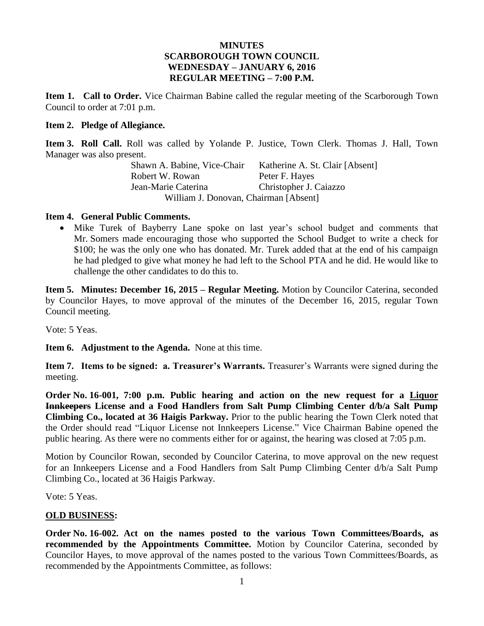### **MINUTES SCARBOROUGH TOWN COUNCIL WEDNESDAY – JANUARY 6, 2016 REGULAR MEETING – 7:00 P.M.**

**Item 1. Call to Order.** Vice Chairman Babine called the regular meeting of the Scarborough Town Council to order at 7:01 p.m.

#### **Item 2. Pledge of Allegiance.**

**Item 3. Roll Call.** Roll was called by Yolande P. Justice, Town Clerk. Thomas J. Hall, Town Manager was also present.

Shawn A. Babine, Vice-Chair Katherine A. St. Clair [Absent] Robert W. Rowan Peter F. Hayes Jean-Marie Caterina Christopher J. Caiazzo William J. Donovan, Chairman [Absent]

#### **Item 4. General Public Comments.**

• Mike Turek of Bayberry Lane spoke on last year's school budget and comments that Mr. Somers made encouraging those who supported the School Budget to write a check for \$100; he was the only one who has donated. Mr. Turek added that at the end of his campaign he had pledged to give what money he had left to the School PTA and he did. He would like to challenge the other candidates to do this to.

**Item 5. Minutes: December 16, 2015 – Regular Meeting.** Motion by Councilor Caterina, seconded by Councilor Hayes, to move approval of the minutes of the December 16, 2015, regular Town Council meeting.

Vote: 5 Yeas.

**Item 6. Adjustment to the Agenda.** None at this time.

**Item 7. Items to be signed: a. Treasurer's Warrants.** Treasurer's Warrants were signed during the meeting.

**Order No. 16-001, 7:00 p.m. Public hearing and action on the new request for a Liquor Innkeepers License and a Food Handlers from Salt Pump Climbing Center d/b/a Salt Pump Climbing Co., located at 36 Haigis Parkway.** Prior to the public hearing the Town Clerk noted that the Order should read "Liquor License not Innkeepers License." Vice Chairman Babine opened the public hearing. As there were no comments either for or against, the hearing was closed at 7:05 p.m.

Motion by Councilor Rowan, seconded by Councilor Caterina, to move approval on the new request for an Innkeepers License and a Food Handlers from Salt Pump Climbing Center d/b/a Salt Pump Climbing Co., located at 36 Haigis Parkway.

Vote: 5 Yeas.

### **OLD BUSINESS:**

**Order No. 16-002. Act on the names posted to the various Town Committees/Boards, as recommended by the Appointments Committee.** Motion by Councilor Caterina, seconded by Councilor Hayes, to move approval of the names posted to the various Town Committees/Boards, as recommended by the Appointments Committee, as follows: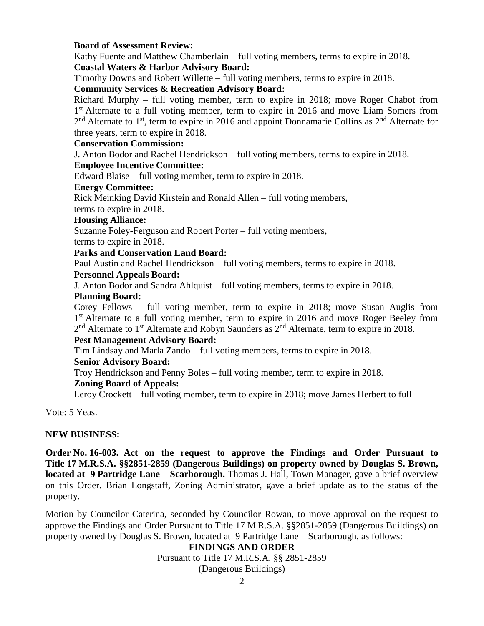### **Board of Assessment Review:**

Kathy Fuente and Matthew Chamberlain – full voting members, terms to expire in 2018. **Coastal Waters & Harbor Advisory Board:**

Timothy Downs and Robert Willette – full voting members, terms to expire in 2018.

### **Community Services & Recreation Advisory Board:**

Richard Murphy – full voting member, term to expire in 2018; move Roger Chabot from 1<sup>st</sup> Alternate to a full voting member, term to expire in 2016 and move Liam Somers from 2<sup>nd</sup> Alternate to 1<sup>st</sup>, term to expire in 2016 and appoint Donnamarie Collins as 2<sup>nd</sup> Alternate for three years, term to expire in 2018.

## **Conservation Commission:**

J. Anton Bodor and Rachel Hendrickson – full voting members, terms to expire in 2018.

### **Employee Incentive Committee:**

Edward Blaise – full voting member, term to expire in 2018.

#### **Energy Committee:**

Rick Meinking David Kirstein and Ronald Allen – full voting members,

terms to expire in 2018.

#### **Housing Alliance:**

Suzanne Foley-Ferguson and Robert Porter – full voting members, terms to expire in 2018.

### **Parks and Conservation Land Board:**

Paul Austin and Rachel Hendrickson – full voting members, terms to expire in 2018.

### **Personnel Appeals Board:**

J. Anton Bodor and Sandra Ahlquist – full voting members, terms to expire in 2018.

## **Planning Board:**

Corey Fellows – full voting member, term to expire in 2018; move Susan Auglis from 1<sup>st</sup> Alternate to a full voting member, term to expire in 2016 and move Roger Beeley from  $2<sup>nd</sup>$  Alternate to 1<sup>st</sup> Alternate and Robyn Saunders as  $2<sup>nd</sup>$  Alternate, term to expire in 2018.

### **Pest Management Advisory Board:**

Tim Lindsay and Marla Zando – full voting members, terms to expire in 2018.

### **Senior Advisory Board:**

Troy Hendrickson and Penny Boles – full voting member, term to expire in 2018.

### **Zoning Board of Appeals:**

Leroy Crockett – full voting member, term to expire in 2018; move James Herbert to full

Vote: 5 Yeas.

### **NEW BUSINESS:**

**Order No. 16-003. Act on the request to approve the Findings and Order Pursuant to Title 17 M.R.S.A. §§2851-2859 (Dangerous Buildings) on property owned by Douglas S. Brown, located at 9 Partridge Lane – Scarborough.** Thomas J. Hall, Town Manager, gave a brief overview on this Order. Brian Longstaff, Zoning Administrator, gave a brief update as to the status of the property.

Motion by Councilor Caterina, seconded by Councilor Rowan, to move approval on the request to approve the Findings and Order Pursuant to Title 17 M.R.S.A. §§2851-2859 (Dangerous Buildings) on property owned by Douglas S. Brown, located at 9 Partridge Lane – Scarborough, as follows:

### **FINDINGS AND ORDER**

Pursuant to Title 17 M.R.S.A. §§ 2851-2859

(Dangerous Buildings)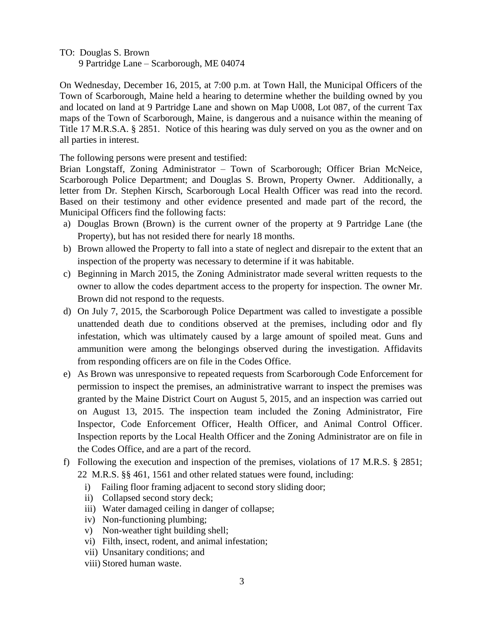TO: Douglas S. Brown

9 Partridge Lane – Scarborough, ME 04074

On Wednesday, December 16, 2015, at 7:00 p.m. at Town Hall, the Municipal Officers of the Town of Scarborough, Maine held a hearing to determine whether the building owned by you and located on land at 9 Partridge Lane and shown on Map U008, Lot 087, of the current Tax maps of the Town of Scarborough, Maine, is dangerous and a nuisance within the meaning of Title 17 M.R.S.A. § 2851. Notice of this hearing was duly served on you as the owner and on all parties in interest.

The following persons were present and testified:

Brian Longstaff, Zoning Administrator – Town of Scarborough; Officer Brian McNeice, Scarborough Police Department; and Douglas S. Brown, Property Owner. Additionally, a letter from Dr. Stephen Kirsch, Scarborough Local Health Officer was read into the record. Based on their testimony and other evidence presented and made part of the record, the Municipal Officers find the following facts:

- a) Douglas Brown (Brown) is the current owner of the property at 9 Partridge Lane (the Property), but has not resided there for nearly 18 months.
- b) Brown allowed the Property to fall into a state of neglect and disrepair to the extent that an inspection of the property was necessary to determine if it was habitable.
- c) Beginning in March 2015, the Zoning Administrator made several written requests to the owner to allow the codes department access to the property for inspection. The owner Mr. Brown did not respond to the requests.
- d) On July 7, 2015, the Scarborough Police Department was called to investigate a possible unattended death due to conditions observed at the premises, including odor and fly infestation, which was ultimately caused by a large amount of spoiled meat. Guns and ammunition were among the belongings observed during the investigation. Affidavits from responding officers are on file in the Codes Office.
- e) As Brown was unresponsive to repeated requests from Scarborough Code Enforcement for permission to inspect the premises, an administrative warrant to inspect the premises was granted by the Maine District Court on August 5, 2015, and an inspection was carried out on August 13, 2015. The inspection team included the Zoning Administrator, Fire Inspector, Code Enforcement Officer, Health Officer, and Animal Control Officer. Inspection reports by the Local Health Officer and the Zoning Administrator are on file in the Codes Office, and are a part of the record.
- f) Following the execution and inspection of the premises, violations of 17 M.R.S. § 2851; 22 M.R.S. §§ 461, 1561 and other related statues were found, including:
	- i) Failing floor framing adjacent to second story sliding door;
	- ii) Collapsed second story deck;
	- iii) Water damaged ceiling in danger of collapse;
	- iv) Non-functioning plumbing;
	- v) Non-weather tight building shell;
	- vi) Filth, insect, rodent, and animal infestation;
	- vii) Unsanitary conditions; and
	- viii) Stored human waste.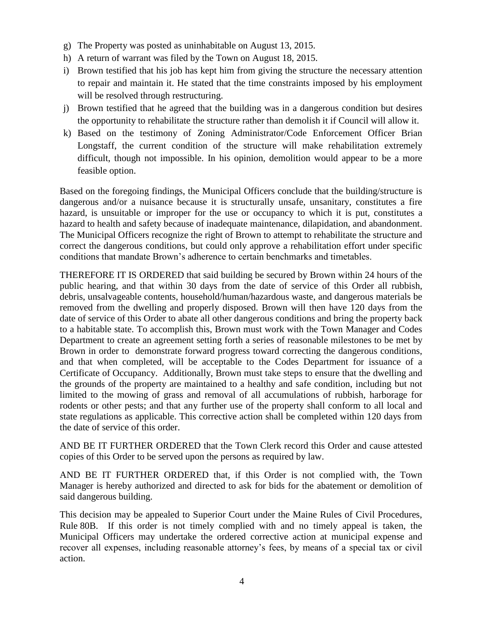- g) The Property was posted as uninhabitable on August 13, 2015.
- h) A return of warrant was filed by the Town on August 18, 2015.
- i) Brown testified that his job has kept him from giving the structure the necessary attention to repair and maintain it. He stated that the time constraints imposed by his employment will be resolved through restructuring.
- j) Brown testified that he agreed that the building was in a dangerous condition but desires the opportunity to rehabilitate the structure rather than demolish it if Council will allow it.
- k) Based on the testimony of Zoning Administrator/Code Enforcement Officer Brian Longstaff, the current condition of the structure will make rehabilitation extremely difficult, though not impossible. In his opinion, demolition would appear to be a more feasible option.

Based on the foregoing findings, the Municipal Officers conclude that the building/structure is dangerous and/or a nuisance because it is structurally unsafe, unsanitary, constitutes a fire hazard, is unsuitable or improper for the use or occupancy to which it is put, constitutes a hazard to health and safety because of inadequate maintenance, dilapidation, and abandonment. The Municipal Officers recognize the right of Brown to attempt to rehabilitate the structure and correct the dangerous conditions, but could only approve a rehabilitation effort under specific conditions that mandate Brown's adherence to certain benchmarks and timetables.

THEREFORE IT IS ORDERED that said building be secured by Brown within 24 hours of the public hearing, and that within 30 days from the date of service of this Order all rubbish, debris, unsalvageable contents, household/human/hazardous waste, and dangerous materials be removed from the dwelling and properly disposed. Brown will then have 120 days from the date of service of this Order to abate all other dangerous conditions and bring the property back to a habitable state. To accomplish this, Brown must work with the Town Manager and Codes Department to create an agreement setting forth a series of reasonable milestones to be met by Brown in order to demonstrate forward progress toward correcting the dangerous conditions, and that when completed, will be acceptable to the Codes Department for issuance of a Certificate of Occupancy. Additionally, Brown must take steps to ensure that the dwelling and the grounds of the property are maintained to a healthy and safe condition, including but not limited to the mowing of grass and removal of all accumulations of rubbish, harborage for rodents or other pests; and that any further use of the property shall conform to all local and state regulations as applicable. This corrective action shall be completed within 120 days from the date of service of this order.

AND BE IT FURTHER ORDERED that the Town Clerk record this Order and cause attested copies of this Order to be served upon the persons as required by law.

AND BE IT FURTHER ORDERED that, if this Order is not complied with, the Town Manager is hereby authorized and directed to ask for bids for the abatement or demolition of said dangerous building.

This decision may be appealed to Superior Court under the Maine Rules of Civil Procedures, Rule 80B. If this order is not timely complied with and no timely appeal is taken, the Municipal Officers may undertake the ordered corrective action at municipal expense and recover all expenses, including reasonable attorney's fees, by means of a special tax or civil action.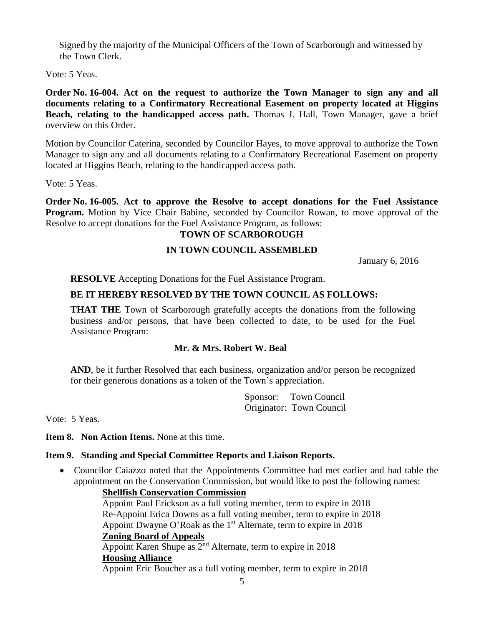Signed by the majority of the Municipal Officers of the Town of Scarborough and witnessed by the Town Clerk.

Vote: 5 Yeas.

**Order No. 16-004. Act on the request to authorize the Town Manager to sign any and all documents relating to a Confirmatory Recreational Easement on property located at Higgins Beach, relating to the handicapped access path.** Thomas J. Hall, Town Manager, gave a brief overview on this Order.

Motion by Councilor Caterina, seconded by Councilor Hayes, to move approval to authorize the Town Manager to sign any and all documents relating to a Confirmatory Recreational Easement on property located at Higgins Beach, relating to the handicapped access path.

Vote: 5 Yeas.

**Order No. 16-005. Act to approve the Resolve to accept donations for the Fuel Assistance Program.** Motion by Vice Chair Babine, seconded by Councilor Rowan, to move approval of the Resolve to accept donations for the Fuel Assistance Program, as follows:

### **TOWN OF SCARBOROUGH**

# **IN TOWN COUNCIL ASSEMBLED**

January 6, 2016

**RESOLVE** Accepting Donations for the Fuel Assistance Program.

## **BE IT HEREBY RESOLVED BY THE TOWN COUNCIL AS FOLLOWS:**

**THAT THE** Town of Scarborough gratefully accepts the donations from the following business and/or persons, that have been collected to date, to be used for the Fuel Assistance Program:

## **Mr. & Mrs. Robert W. Beal**

AND, be it further Resolved that each business, organization and/or person be recognized for their generous donations as a token of the Town's appreciation.

> Sponsor: Town Council Originator: Town Council

Vote: 5 Yeas.

**Item 8. Non Action Items.** None at this time.

### **Item 9. Standing and Special Committee Reports and Liaison Reports.**

 Councilor Caiazzo noted that the Appointments Committee had met earlier and had table the appointment on the Conservation Commission, but would like to post the following names:

**Shellfish Conservation Commission** Appoint Paul Erickson as a full voting member, term to expire in 2018 Re-Appoint Erica Downs as a full voting member, term to expire in 2018 Appoint Dwayne O'Roak as the  $1<sup>st</sup>$  Alternate, term to expire in 2018 **Zoning Board of Appeals** Appoint Karen Shupe as  $2<sup>nd</sup>$  Alternate, term to expire in 2018 **Housing Alliance** Appoint Eric Boucher as a full voting member, term to expire in 2018